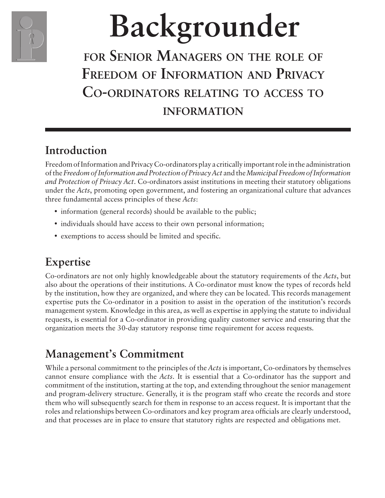

# **Backgrounder**

# **for Senior Managers on the role of Freedom of Information and Privacy Co-ordinators relating to access to information**

# **Introduction**

Freedom of Information and Privacy Co-ordinators play a critically important role in the administration of the *Freedom of Information and Protection of Privacy Act* and the *Municipal Freedom of Information and Protection of Privacy Act*. Co-ordinators assist institutions in meeting their statutory obligations under the *Acts*, promoting open government, and fostering an organizational culture that advances three fundamental access principles of these *Acts*:

- information (general records) should be available to the public;
- individuals should have access to their own personal information;
- exemptions to access should be limited and specific.

# **Expertise**

Co-ordinators are not only highly knowledgeable about the statutory requirements of the *Acts*, but also about the operations of their institutions. A Co-ordinator must know the types of records held by the institution, how they are organized, and where they can be located. This records management expertise puts the Co-ordinator in a position to assist in the operation of the institution's records management system. Knowledge in this area, as well as expertise in applying the statute to individual requests, is essential for a Co-ordinator in providing quality customer service and ensuring that the organization meets the 30-day statutory response time requirement for access requests.

# **Management's Commitment**

While a personal commitment to the principles of the *Acts* is important, Co-ordinators by themselves cannot ensure compliance with the *Acts*. It is essential that a Co-ordinator has the support and commitment of the institution, starting at the top, and extending throughout the senior management and program-delivery structure. Generally, it is the program staff who create the records and store them who will subsequently search for them in response to an access request. It is important that the roles and relationships between Co-ordinators and key program area officials are clearly understood, and that processes are in place to ensure that statutory rights are respected and obligations met.